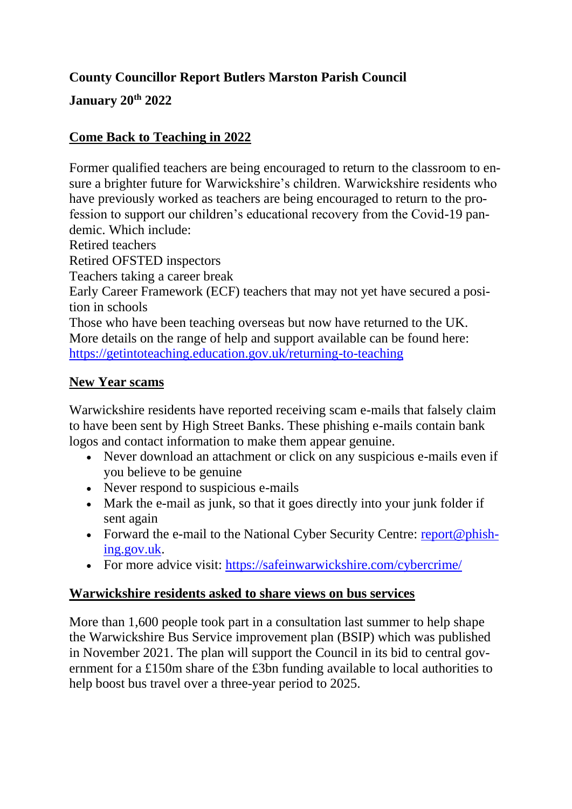## **County Councillor Report Butlers Marston Parish Council**

**January 20th 2022**

## **Come Back to Teaching in 2022**

Former qualified teachers are being encouraged to return to the classroom to ensure a brighter future for Warwickshire's children. Warwickshire residents who have previously worked as teachers are being encouraged to return to the profession to support our children's educational recovery from the Covid-19 pandemic. Which include:

Retired teachers

Retired OFSTED inspectors

Teachers taking a career break

Early Career Framework (ECF) teachers that may not yet have secured a position in schools

Those who have been teaching overseas but now have returned to the UK. More details on the range of help and support available can be found here: <https://getintoteaching.education.gov.uk/returning-to-teaching>

#### **New Year scams**

Warwickshire residents have reported receiving scam e-mails that falsely claim to have been sent by High Street Banks. These phishing e-mails contain bank logos and contact information to make them appear genuine.

- Never download an attachment or click on any suspicious e-mails even if you believe to be genuine
- Never respond to suspicious e-mails
- Mark the e-mail as junk, so that it goes directly into your junk folder if sent again
- Forward the e-mail to the National Cyber Security Centre: [report@phish](mailto:report@phishing.gov.uk)[ing.gov.uk.](mailto:report@phishing.gov.uk)
- For more advice visit:<https://safeinwarwickshire.com/cybercrime/>

## **Warwickshire residents asked to share views on bus services**

More than 1,600 people took part in a consultation last summer to help shape the Warwickshire Bus Service improvement plan (BSIP) which was published in November 2021. The plan will support the Council in its bid to central government for a £150m share of the £3bn funding available to local authorities to help boost bus travel over a three-year period to 2025.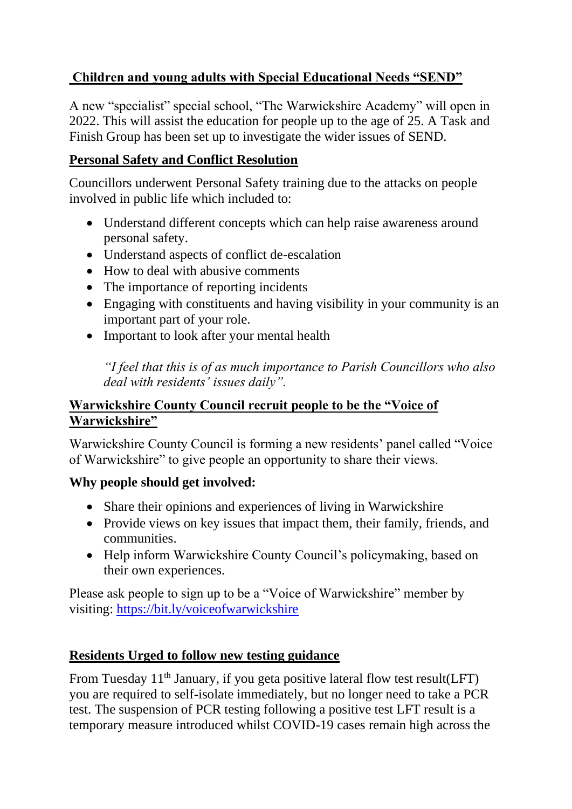## **Children and young adults with Special Educational Needs "SEND"**

A new "specialist" special school, "The Warwickshire Academy" will open in 2022. This will assist the education for people up to the age of 25. A Task and Finish Group has been set up to investigate the wider issues of SEND.

## **Personal Safety and Conflict Resolution**

Councillors underwent Personal Safety training due to the attacks on people involved in public life which included to:

- Understand different concepts which can help raise awareness around personal safety.
- Understand aspects of conflict de-escalation
- How to deal with abusive comments
- The importance of reporting incidents
- Engaging with constituents and having visibility in your community is an important part of your role.
- Important to look after your mental health

*"I feel that this is of as much importance to Parish Councillors who also deal with residents' issues daily".*

## **Warwickshire County Council recruit people to be the "Voice of Warwickshire"**

Warwickshire County Council is forming a new residents' panel called "Voice of Warwickshire" to give people an opportunity to share their views.

## **Why people should get involved:**

- Share their opinions and experiences of living in Warwickshire
- Provide views on key issues that impact them, their family, friends, and communities.
- Help inform Warwickshire County Council's policymaking, based on their own experiences.

Please ask people to sign up to be a "Voice of Warwickshire" member by visiting:<https://bit.ly/voiceofwarwickshire>

## **Residents Urged to follow new testing guidance**

From Tuesday  $11<sup>th</sup>$  January, if you geta positive lateral flow test result(LFT) you are required to self-isolate immediately, but no longer need to take a PCR test. The suspension of PCR testing following a positive test LFT result is a temporary measure introduced whilst COVID-19 cases remain high across the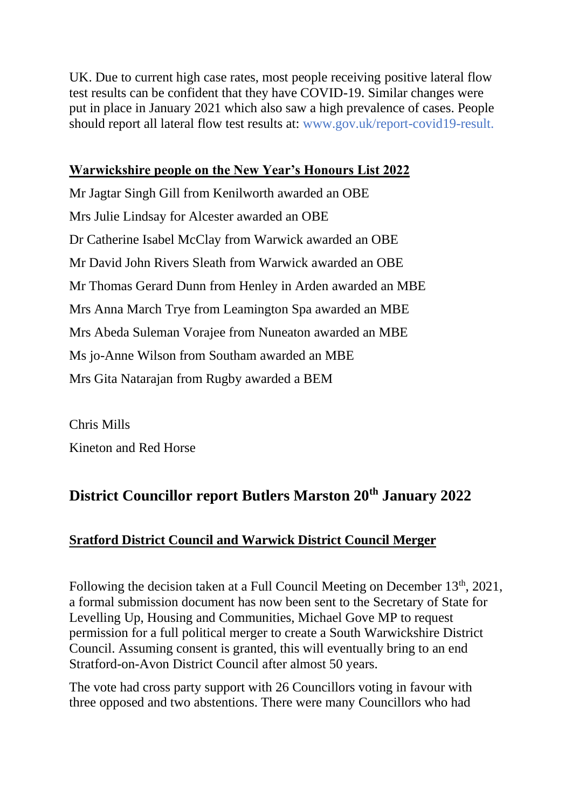UK. Due to current high case rates, most people receiving positive lateral flow test results can be confident that they have COVID-19. Similar changes were put in place in January 2021 which also saw a high prevalence of cases. People should report all lateral flow test results at: www.gov.uk/report-covid19-result.

## **Warwickshire people on the New Year's Honours List 2022**

Mr Jagtar Singh Gill from Kenilworth awarded an OBE Mrs Julie Lindsay for Alcester awarded an OBE Dr Catherine Isabel McClay from Warwick awarded an OBE Mr David John Rivers Sleath from Warwick awarded an OBE Mr Thomas Gerard Dunn from Henley in Arden awarded an MBE Mrs Anna March Trye from Leamington Spa awarded an MBE Mrs Abeda Suleman Vorajee from Nuneaton awarded an MBE Ms jo-Anne Wilson from Southam awarded an MBE Mrs Gita Natarajan from Rugby awarded a BEM

Chris Mills Kineton and Red Horse

# **District Councillor report Butlers Marston 20th January 2022**

## **Sratford District Council and Warwick District Council Merger**

Following the decision taken at a Full Council Meeting on December 13<sup>th</sup>, 2021, a formal submission document has now been sent to the Secretary of State for Levelling Up, Housing and Communities, Michael Gove MP to request permission for a full political merger to create a South Warwickshire District Council. Assuming consent is granted, this will eventually bring to an end Stratford-on-Avon District Council after almost 50 years.

The vote had cross party support with 26 Councillors voting in favour with three opposed and two abstentions. There were many Councillors who had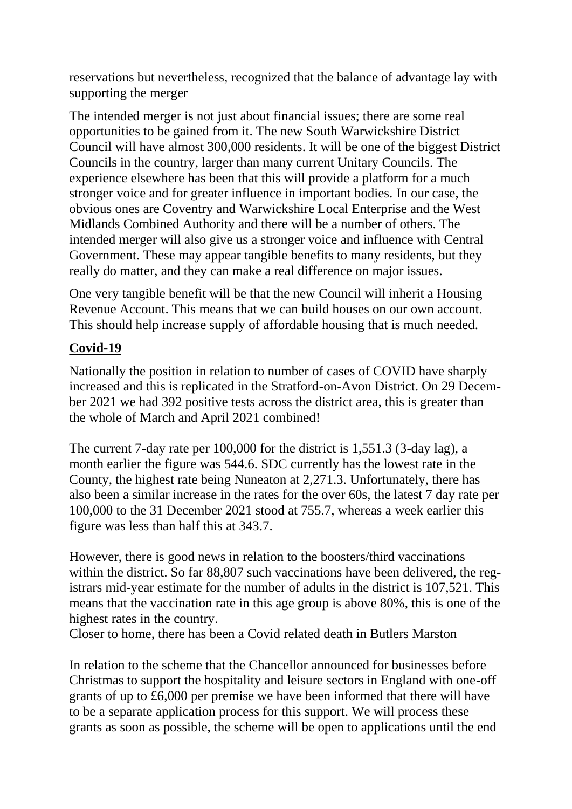reservations but nevertheless, recognized that the balance of advantage lay with supporting the merger

The intended merger is not just about financial issues; there are some real opportunities to be gained from it. The new South Warwickshire District Council will have almost 300,000 residents. It will be one of the biggest District Councils in the country, larger than many current Unitary Councils. The experience elsewhere has been that this will provide a platform for a much stronger voice and for greater influence in important bodies. In our case, the obvious ones are Coventry and Warwickshire Local Enterprise and the West Midlands Combined Authority and there will be a number of others. The intended merger will also give us a stronger voice and influence with Central Government. These may appear tangible benefits to many residents, but they really do matter, and they can make a real difference on major issues.

One very tangible benefit will be that the new Council will inherit a Housing Revenue Account. This means that we can build houses on our own account. This should help increase supply of affordable housing that is much needed.

## **Covid-19**

Nationally the position in relation to number of cases of COVID have sharply increased and this is replicated in the Stratford-on-Avon District. On 29 December 2021 we had 392 positive tests across the district area, this is greater than the whole of March and April 2021 combined!

The current 7-day rate per 100,000 for the district is 1,551.3 (3-day lag), a month earlier the figure was 544.6. SDC currently has the lowest rate in the County, the highest rate being Nuneaton at 2,271.3. Unfortunately, there has also been a similar increase in the rates for the over 60s, the latest 7 day rate per 100,000 to the 31 December 2021 stood at 755.7, whereas a week earlier this figure was less than half this at 343.7.

However, there is good news in relation to the boosters/third vaccinations within the district. So far 88,807 such vaccinations have been delivered, the registrars mid-year estimate for the number of adults in the district is 107,521. This means that the vaccination rate in this age group is above 80%, this is one of the highest rates in the country.

Closer to home, there has been a Covid related death in Butlers Marston

In relation to the scheme that the Chancellor announced for businesses before Christmas to support the hospitality and leisure sectors in England with one-off grants of up to £6,000 per premise we have been informed that there will have to be a separate application process for this support. We will process these grants as soon as possible, the scheme will be open to applications until the end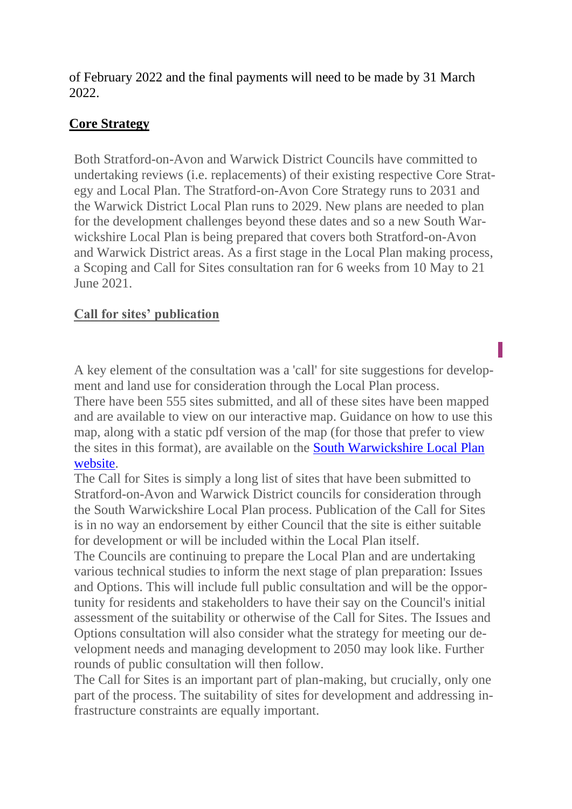of February 2022 and the final payments will need to be made by 31 March 2022.

## **Core Strategy**

Both Stratford-on-Avon and Warwick District Councils have committed to undertaking reviews (i.e. replacements) of their existing respective Core Strategy and Local Plan. The Stratford-on-Avon Core Strategy runs to 2031 and the Warwick District Local Plan runs to 2029. New plans are needed to plan for the development challenges beyond these dates and so a new South Warwickshire Local Plan is being prepared that covers both Stratford-on-Avon and Warwick District areas. As a first stage in the Local Plan making process, a Scoping and Call for Sites consultation ran for 6 weeks from 10 May to 21 June 2021.

## **Call for sites' publication**

A key element of the consultation was a 'call' for site suggestions for development and land use for consideration through the Local Plan process. There have been 555 sites submitted, and all of these sites have been mapped and are available to view on our interactive map. Guidance on how to use this map, along with a static pdf version of the map (for those that prefer to view the sites in this format), are available on the [South Warwickshire Local Plan](https://gbr01.safelinks.protection.outlook.com/?url=https%3A%2F%2Fwww.southwarwickshire.org.uk%2Fswlp%2FStage1&data=04|01|Christopher.Mills%40stratford-dc.gov.uk|117d0aa28ad843d4eaa108d9d06d49b5|ea0773dc0dec4c50a4c9bc26a247ed21|1|0|637769990069047367|Unknown|TWFpbGZsb3d8eyJWIjoiMC4wLjAwMDAiLCJQIjoiV2luMzIiLCJBTiI6Ik1haWwiLCJXVCI6Mn0%3D|3000&sdata=8D54u6SXTJFWH1gupGoskniW29qBF0Feq%2B9dzu7f2MM%3D&reserved=0)  [website.](https://gbr01.safelinks.protection.outlook.com/?url=https%3A%2F%2Fwww.southwarwickshire.org.uk%2Fswlp%2FStage1&data=04|01|Christopher.Mills%40stratford-dc.gov.uk|117d0aa28ad843d4eaa108d9d06d49b5|ea0773dc0dec4c50a4c9bc26a247ed21|1|0|637769990069047367|Unknown|TWFpbGZsb3d8eyJWIjoiMC4wLjAwMDAiLCJQIjoiV2luMzIiLCJBTiI6Ik1haWwiLCJXVCI6Mn0%3D|3000&sdata=8D54u6SXTJFWH1gupGoskniW29qBF0Feq%2B9dzu7f2MM%3D&reserved=0)

The Call for Sites is simply a long list of sites that have been submitted to Stratford-on-Avon and Warwick District councils for consideration through the South Warwickshire Local Plan process. Publication of the Call for Sites is in no way an endorsement by either Council that the site is either suitable for development or will be included within the Local Plan itself.

The Councils are continuing to prepare the Local Plan and are undertaking various technical studies to inform the next stage of plan preparation: Issues and Options. This will include full public consultation and will be the opportunity for residents and stakeholders to have their say on the Council's initial assessment of the suitability or otherwise of the Call for Sites. The Issues and Options consultation will also consider what the strategy for meeting our development needs and managing development to 2050 may look like. Further rounds of public consultation will then follow.

The Call for Sites is an important part of plan-making, but crucially, only one part of the process. The suitability of sites for development and addressing infrastructure constraints are equally important.